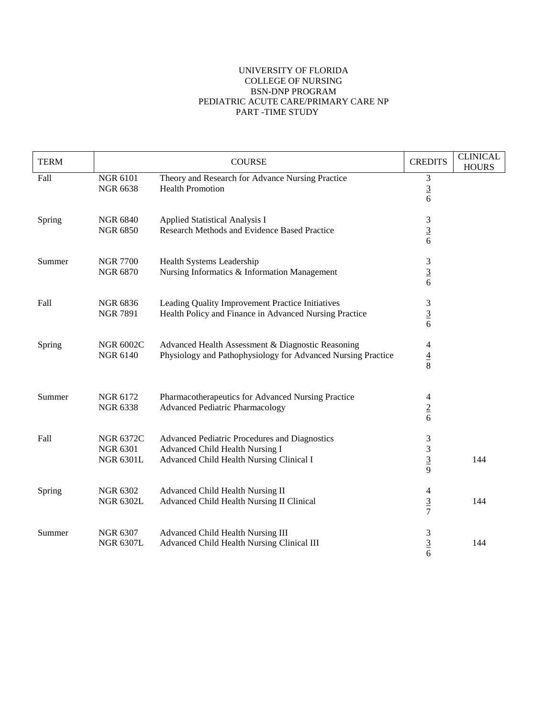## UNIVERSITY OF FLORIDA COLLEGE OF NURSING BSN-DNP PROGRAM PEDIATRIC ACUTE CARE/PRIMARY CARE NP PART -TIME STUDY

| <b>TERM</b> |                                                         | <b>COURSE</b>                                                                                                                | <b>CREDITS</b>                                          | <b>CLINICAL</b><br><b>HOURS</b> |
|-------------|---------------------------------------------------------|------------------------------------------------------------------------------------------------------------------------------|---------------------------------------------------------|---------------------------------|
| Fall        | <b>NGR 6101</b><br><b>NGR 6638</b>                      | Theory and Research for Advance Nursing Practice<br><b>Health Promotion</b>                                                  | 3<br>$\frac{3}{6}$                                      |                                 |
| Spring      | <b>NGR 6840</b><br><b>NGR 6850</b>                      | <b>Applied Statistical Analysis I</b><br>Research Methods and Evidence Based Practice                                        | 3<br>$\overline{3}$<br>6                                |                                 |
| Summer      | <b>NGR 7700</b><br><b>NGR 6870</b>                      | Health Systems Leadership<br>Nursing Informatics & Information Management                                                    | 3<br>$\frac{3}{6}$                                      |                                 |
| Fall        | <b>NGR 6836</b><br><b>NGR 7891</b>                      | Leading Quality Improvement Practice Initiatives<br>Health Policy and Finance in Advanced Nursing Practice                   | 3<br>$\overline{3}$<br>6                                |                                 |
| Spring      | <b>NGR 6002C</b><br><b>NGR 6140</b>                     | Advanced Health Assessment & Diagnostic Reasoning<br>Physiology and Pathophysiology for Advanced Nursing Practice            | 4<br>$\frac{4}{8}$                                      |                                 |
| Summer      | NGR 6172<br><b>NGR 6338</b>                             | Pharmacotherapeutics for Advanced Nursing Practice<br><b>Advanced Pediatric Pharmacology</b>                                 | $\overline{4}$<br>$\frac{2}{6}$                         |                                 |
| Fall        | <b>NGR 6372C</b><br><b>NGR 6301</b><br><b>NGR 6301L</b> | Advanced Pediatric Procedures and Diagnostics<br>Advanced Child Health Nursing I<br>Advanced Child Health Nursing Clinical I | 3<br>$\ensuremath{\mathfrak{Z}}$<br>$\overline{3}$<br>9 | 144                             |
| Spring      | <b>NGR 6302</b><br><b>NGR 6302L</b>                     | Advanced Child Health Nursing II<br>Advanced Child Health Nursing II Clinical                                                | 4<br>$rac{3}{7}$                                        | 144                             |
| Summer      | <b>NGR 6307</b><br><b>NGR 6307L</b>                     | Advanced Child Health Nursing III<br>Advanced Child Health Nursing Clinical III                                              | 3<br>$\overline{3}$<br>6                                | 144                             |